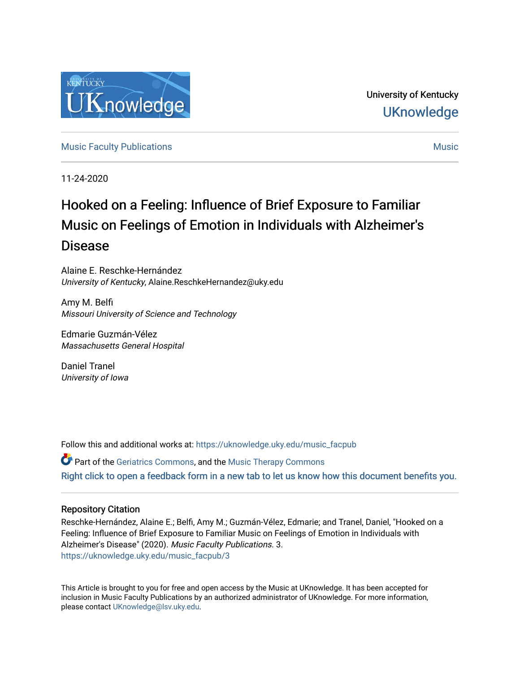

University of Kentucky **UKnowledge** 

[Music Faculty Publications](https://uknowledge.uky.edu/music_facpub) **[Music](https://uknowledge.uky.edu/music) Server Australian Control** Music Music Music Music Music Music Music Music Music

11-24-2020

## Hooked on a Feeling: Influence of Brief Exposure to Familiar Music on Feelings of Emotion in Individuals with Alzheimer's Disease

Alaine E. Reschke-Hernández University of Kentucky, Alaine.ReschkeHernandez@uky.edu

Amy M. Belfi Missouri University of Science and Technology

Edmarie Guzmán-Vélez Massachusetts General Hospital

Daniel Tranel University of Iowa

Follow this and additional works at: [https://uknowledge.uky.edu/music\\_facpub](https://uknowledge.uky.edu/music_facpub?utm_source=uknowledge.uky.edu%2Fmusic_facpub%2F3&utm_medium=PDF&utm_campaign=PDFCoverPages) 

Part of the [Geriatrics Commons,](http://network.bepress.com/hgg/discipline/688?utm_source=uknowledge.uky.edu%2Fmusic_facpub%2F3&utm_medium=PDF&utm_campaign=PDFCoverPages) and the [Music Therapy Commons](http://network.bepress.com/hgg/discipline/1248?utm_source=uknowledge.uky.edu%2Fmusic_facpub%2F3&utm_medium=PDF&utm_campaign=PDFCoverPages)  [Right click to open a feedback form in a new tab to let us know how this document benefits you.](https://uky.az1.qualtrics.com/jfe/form/SV_9mq8fx2GnONRfz7)

### Repository Citation

Reschke-Hernández, Alaine E.; Belfi, Amy M.; Guzmán-Vélez, Edmarie; and Tranel, Daniel, "Hooked on a Feeling: Influence of Brief Exposure to Familiar Music on Feelings of Emotion in Individuals with Alzheimer's Disease" (2020). Music Faculty Publications. 3. [https://uknowledge.uky.edu/music\\_facpub/3](https://uknowledge.uky.edu/music_facpub/3?utm_source=uknowledge.uky.edu%2Fmusic_facpub%2F3&utm_medium=PDF&utm_campaign=PDFCoverPages) 

This Article is brought to you for free and open access by the Music at UKnowledge. It has been accepted for inclusion in Music Faculty Publications by an authorized administrator of UKnowledge. For more information, please contact [UKnowledge@lsv.uky.edu.](mailto:UKnowledge@lsv.uky.edu)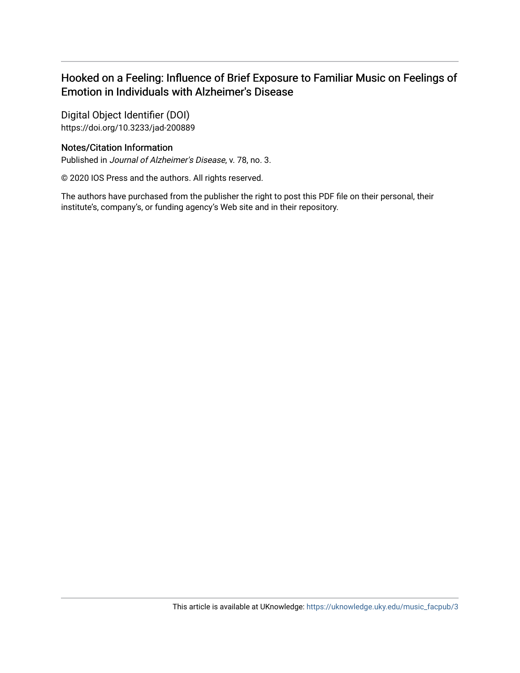## Hooked on a Feeling: Influence of Brief Exposure to Familiar Music on Feelings of Emotion in Individuals with Alzheimer's Disease

Digital Object Identifier (DOI) https://doi.org/10.3233/jad-200889

## Notes/Citation Information

Published in Journal of Alzheimer's Disease, v. 78, no. 3.

© 2020 IOS Press and the authors. All rights reserved.

The authors have purchased from the publisher the right to post this PDF file on their personal, their institute's, company's, or funding agency's Web site and in their repository.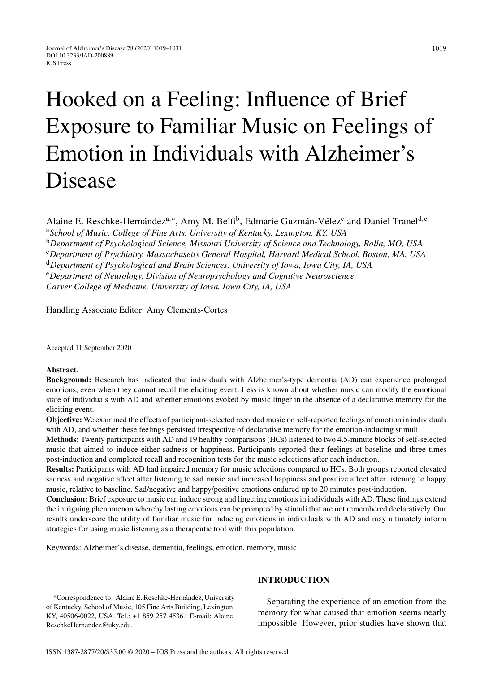1019

# Hooked on a Feeling: Influence of Brief Exposure to Familiar Music on Feelings of Emotion in Individuals with Alzheimer's Disease

Alaine E. Reschke-Hernández<sup>a,∗</sup>, Amy M. Belfi<sup>b</sup>, Edmarie Guzmán-Vélez<sup>c</sup> and Daniel Tranel<sup>d,e</sup>

<sup>a</sup>*School of Music, College of Fine Arts, University of Kentucky, Lexington, KY, USA*

<sup>b</sup>*Department of Psychological Science, Missouri University of Science and Technology, Rolla, MO, USA*

<sup>c</sup>*Department of Psychiatry, Massachusetts General Hospital, Harvard Medical School, Boston, MA, USA*

<sup>d</sup>*Department of Psychological and Brain Sciences, University of Iowa, Iowa City, IA, USA*

<sup>e</sup>*Department of Neurology, Division of Neuropsychology and Cognitive Neuroscience,*

*Carver College of Medicine, University of Iowa, Iowa City, IA, USA*

Handling Associate Editor: Amy Clements-Cortes

Accepted 11 September 2020

#### **Abstract**.

**Background:** Research has indicated that individuals with Alzheimer's-type dementia (AD) can experience prolonged emotions, even when they cannot recall the eliciting event. Less is known about whether music can modify the emotional state of individuals with AD and whether emotions evoked by music linger in the absence of a declarative memory for the eliciting event.

**Objective:** We examined the effects of participant-selected recorded music on self-reported feelings of emotion in individuals with AD, and whether these feelings persisted irrespective of declarative memory for the emotion-inducing stimuli.

**Methods:** Twenty participants with AD and 19 healthy comparisons (HCs) listened to two 4.5-minute blocks of self-selected music that aimed to induce either sadness or happiness. Participants reported their feelings at baseline and three times post-induction and completed recall and recognition tests for the music selections after each induction.

**Results:** Participants with AD had impaired memory for music selections compared to HCs. Both groups reported elevated sadness and negative affect after listening to sad music and increased happiness and positive affect after listening to happy music, relative to baseline. Sad/negative and happy/positive emotions endured up to 20 minutes post-induction.

**Conclusion:** Brief exposure to music can induce strong and lingering emotions in individuals with AD. These findings extend the intriguing phenomenon whereby lasting emotions can be prompted by stimuli that are not remembered declaratively. Our results underscore the utility of familiar music for inducing emotions in individuals with AD and may ultimately inform strategies for using music listening as a therapeutic tool with this population.

Keywords: Alzheimer's disease, dementia, feelings, emotion, memory, music

∗Correspondence to: Alaine E. Reschke-Hernandez, University ´ of Kentucky, School of Music, 105 Fine Arts Building, Lexington, KY, 40506-0022, USA. Tel.: +1 859 257 4536. E-mail: Alaine. ReschkeHernandez@uky.edu.

#### **INTRODUCTION**

Separating the experience of an emotion from the [memory for what](mailto:Alaine.{penalty -@M }ReschkeHernandez@uky.edu) caused that emotion seems nearly impossible. However, prior studies have shown that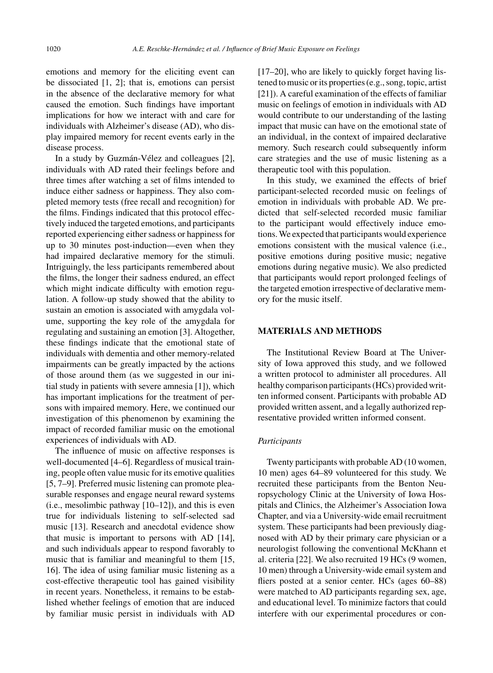emotions and memory for the eliciting event can be dissociated [1, 2]; that is, emotions can persist in the absence of the declarative memory for what caused the emotion. Such findings have important implications for how we interact with and care for individuals with Alzheimer's disease (AD), who display impaired memory for recent events early in the disease process.

In a study by Guzmán-Vélez and colleagues [2], individuals with AD rated their feelings before and three times after watching a set of films intended to induce either sadness or happiness. They also completed memory tests (free recall and recognition) for the films. Findings indicated that this protocol effectively induced the targeted emotions, and participants reported experiencing either sadness or happiness for up to 30 minutes post-induction—even when they had impaired declarative memory for the stimuli. Intriguingly, the less participants remembered about the films, the longer their sadness endured, an effect which might indicate difficulty with emotion regulation. A follow-up study showed that the ability to sustain an emotion is associated with amygdala volume, supporting the key role of the amygdala for regulating and sustaining an emotion [3]. Altogether, these findings indicate that the emotional state of individuals with dementia and other memory-related impairments can be greatly impacted by the actions of those around them (as we suggested in our initial study in patients with severe amnesia [1]), which has important implications for the treatment of persons with impaired memory. Here, we continued our investigation of this phenomenon by examining the impact of recorded familiar music on the emotional experiences of individuals with AD.

The influence of music on affective responses is well-documented [4–6]. Regardless of musical training, people often value music for its emotive qualities [5, 7–9]. Preferred music listening can promote pleasurable responses and engage neural reward systems (i.e., mesolimbic pathway [10–12]), and this is even true for individuals listening to self-selected sad music [13]. Research and anecdotal evidence show that music is important to persons with AD [14], and such individuals appear to respond favorably to music that is familiar and meaningful to them [15, 16]. The idea of using familiar music listening as a cost-effective therapeutic tool has gained visibility in recent years. Nonetheless, it remains to be established whether feelings of emotion that are induced by familiar music persist in individuals with AD

[17–20], who are likely to quickly forget having listened to music or its properties (e.g., song, topic, artist [21]). A careful examination of the effects of familiar music on feelings of emotion in individuals with AD would contribute to our understanding of the lasting impact that music can have on the emotional state of an individual, in the context of impaired declarative memory. Such research could subsequently inform care strategies and the use of music listening as a therapeutic tool with this population.

In this study, we examined the effects of brief participant-selected recorded music on feelings of emotion in individuals with probable AD. We predicted that self-selected recorded music familiar to the participant would effectively induce emotions. We expected that participants would experience emotions consistent with the musical valence (i.e., positive emotions during positive music; negative emotions during negative music). We also predicted that participants would report prolonged feelings of the targeted emotion irrespective of declarative memory for the music itself.

#### **MATERIALS AND METHODS**

The Institutional Review Board at The University of Iowa approved this study, and we followed a written protocol to administer all procedures. All healthy comparison participants (HCs) provided written informed consent. Participants with probable AD provided written assent, and a legally authorized representative provided written informed consent.

#### *Participants*

Twenty participants with probable AD (10 women, 10 men) ages 64–89 volunteered for this study. We recruited these participants from the Benton Neuropsychology Clinic at the University of Iowa Hospitals and Clinics, the Alzheimer's Association Iowa Chapter, and via a University-wide email recruitment system. These participants had been previously diagnosed with AD by their primary care physician or a neurologist following the conventional McKhann et al. criteria [22]. We also recruited 19 HCs (9 women, 10 men) through a University-wide email system and fliers posted at a senior center. HCs (ages 60–88) were matched to AD participants regarding sex, age, and educational level. To minimize factors that could interfere with our experimental procedures or con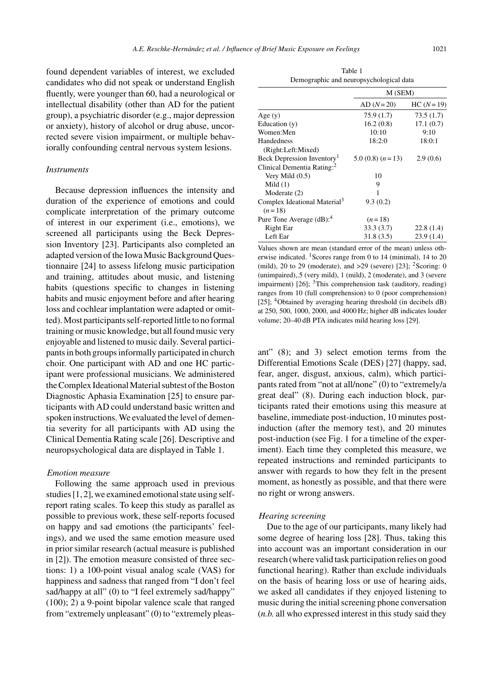found dependent variables of interest, we excluded candidates who did not speak or understand English fluently, were younger than 60, had a neurological or intellectual disability (other than AD for the patient group), a psychiatric disorder (e.g., major depression or anxiety), history of alcohol or drug abuse, uncorrected severe vision impairment, or multiple behaviorally confounding central nervous system lesions.

#### *Instruments*

Because depression influences the intensity and duration of the experience of emotions and could complicate interpretation of the primary outcome of interest in our experiment (i.e., emotions), we screened all participants using the Beck Depression Inventory [23]. Participants also completed an adapted version of the Iowa Music Background Questionnaire [24] to assess lifelong music participation and training, attitudes about music, and listening habits (questions specific to changes in listening habits and music enjoyment before and after hearing loss and cochlear implantation were adapted or omitted). Most participants self-reported little to no formal training or music knowledge, but all found music very enjoyable and listened to music daily. Several participants in both groups informally participated in church choir. One participant with AD and one HC participant were professional musicians. We administered the Complex Ideational Material subtest of the Boston Diagnostic Aphasia Examination [25] to ensure participants with AD could understand basic written and spoken instructions. We evaluated the level of dementia severity for all participants with AD using the Clinical Dementia Rating scale [26]. Descriptive and neuropsychological data are displayed in Table 1.

#### *Emotion measure*

Following the same approach used in previous studies [1, 2], we examined emotional state using selfreport rating scales. To keep this study as parallel as possible to previous work, these self-reports focused on happy and sad emotions (the participants' feelings), and we used the same emotion measure used in prior similar research (actual measure is published in [2]). The emotion measure consisted of three sections: 1) a 100-point visual analog scale (VAS) for happiness and sadness that ranged from "I don't feel sad/happy at all" (0) to "I feel extremely sad/happy" (100); 2) a 9-point bipolar valence scale that ranged from "extremely unpleasant" (0) to "extremely pleas-

Table 1 Demographic and neuropsychological data

|                                          | M (SEM)           |             |
|------------------------------------------|-------------------|-------------|
|                                          | $AD (N = 20)$     | $HC (N=19)$ |
| Age $(y)$                                | 75.9(1.7)         | 73.5(1.7)   |
| Education (y)                            | 16.2(0.8)         | 17.1(0.7)   |
| Women:Men                                | 10:10             | 9:10        |
| Handedness                               | 18:2:0            | 18:0:1      |
| (Right:Left:Mixed)                       |                   |             |
| Beck Depression Inventory <sup>1</sup>   | $5.0(0.8) (n=13)$ | 2.9(0.6)    |
| Clinical Dementia Rating: <sup>2</sup>   |                   |             |
| Very Mild $(0.5)$                        | 10                |             |
| Mild $(1)$                               | 9                 |             |
| Moderate (2)                             |                   |             |
| Complex Ideational Material <sup>3</sup> | 9.3(0.2)          |             |
| $(n=18)$                                 |                   |             |
| Pure Tone Average $(dB)$ : <sup>4</sup>  | $(n=18)$          |             |
| Right Ear                                | 33.3(3.7)         | 22.8(1.4)   |
| Left Ear                                 | 31.8(3.5)         | 23.9(1.4)   |

Values shown are mean (standard error of the mean) unless otherwise indicated. <sup>1</sup>Scores range from 0 to 14 (minimal), 14 to 20 (mild), 20 to 29 (moderate), and  $>$ 29 (severe) [23]; <sup>2</sup>Scoring: 0 (unimpaired),.5 (very mild), 1 (mild), 2 (moderate), and 3 (severe impairment) [26]; <sup>3</sup>This comprehension task (auditory, reading) ranges from 10 (full comprehension) to 0 (poor comprehension) [25]; <sup>4</sup>Obtained by averaging hearing threshold (in decibels dB) at 250, 500, 1000, 2000, and 4000 Hz; higher dB indicates louder volume; 20–40 dB PTA indicates mild hearing loss [29].

ant" (8); and 3) select emotion terms from the Differential Emotions Scale (DES) [27] (happy, sad, fear, anger, disgust, anxious, calm), which participants rated from "not at all/none" (0) to "extremely/a great deal" (8). During each induction block, participants rated their emotions using this measure at baseline, immediate post-induction, 10 minutes postinduction (after the memory test), and 20 minutes post-induction (see Fig. 1 for a timeline of the experiment). Each time they completed this measure, we repeated instructions and reminded participants to answer with regards to how they felt in the present moment, as honestly as possible, and that there were no right or wrong answers.

#### *Hearing screening*

Due to the age of our participants, many likely had some degree of hearing loss [28]. Thus, taking this into account was an important consideration in our research (where valid task participation relies on good functional hearing). Rather than exclude individuals on the basis of hearing loss or use of hearing aids, we asked all candidates if they enjoyed listening to music during the initial screening phone conversation (*n.b.* all who expressed interest in this study said they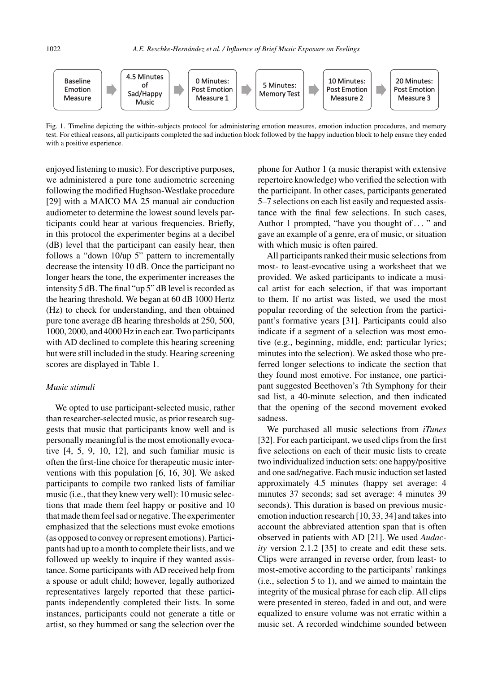

Fig. 1. Timeline depicting the within-subjects protocol for administering emotion measures, emotion induction procedures, and memory test. For ethical reasons, all participants completed the sad induction block followed by the happy induction block to help ensure they ended with a positive experience.

enjoyed listening to music). For descriptive purposes, we administered a pure tone audiometric screening following the modified Hughson-Westlake procedure [29] with a MAICO MA 25 manual air conduction audiometer to determine the lowest sound levels participants could hear at various frequencies. Briefly, in this protocol the experimenter begins at a decibel (dB) level that the participant can easily hear, then follows a "down 10/up 5" pattern to incrementally decrease the intensity 10 dB. Once the participant no longer hears the tone, the experimenter increases the intensity 5 dB. The final "up 5" dB level is recorded as the hearing threshold. We began at 60 dB 1000 Hertz (Hz) to check for understanding, and then obtained pure tone average dB hearing thresholds at 250, 500, 1000, 2000, and 4000 Hz in each ear. Two participants with AD declined to complete this hearing screening but were still included in the study. Hearing screening scores are displayed in Table 1.

#### *Music stimuli*

We opted to use participant-selected music, rather than researcher-selected music, as prior research suggests that music that participants know well and is personally meaningful is the most emotionally evocative [4, 5, 9, 10, 12], and such familiar music is often the first-line choice for therapeutic music interventions with this population [6, 16, 30]. We asked participants to compile two ranked lists of familiar music (i.e., that they knew very well): 10 music selections that made them feel happy or positive and 10 that made them feel sad or negative. The experimenter emphasized that the selections must evoke emotions (as opposed to convey or represent emotions). Participants had up to a month to complete their lists, and we followed up weekly to inquire if they wanted assistance. Some participants with AD received help from a spouse or adult child; however, legally authorized representatives largely reported that these participants independently completed their lists. In some instances, participants could not generate a title or artist, so they hummed or sang the selection over the

phone for Author 1 (a music therapist with extensive repertoire knowledge) who verified the selection with the participant. In other cases, participants generated 5–7 selections on each list easily and requested assistance with the final few selections. In such cases, Author 1 prompted, "have you thought of ..." and gave an example of a genre, era of music, or situation with which music is often paired.

All participants ranked their music selections from most- to least-evocative using a worksheet that we provided. We asked participants to indicate a musical artist for each selection, if that was important to them. If no artist was listed, we used the most popular recording of the selection from the participant's formative years [31]. Participants could also indicate if a segment of a selection was most emotive (e.g., beginning, middle, end; particular lyrics; minutes into the selection). We asked those who preferred longer selections to indicate the section that they found most emotive. For instance, one participant suggested Beethoven's 7th Symphony for their sad list, a 40-minute selection, and then indicated that the opening of the second movement evoked sadness.

We purchased all music selections from *iTunes* [32]. For each participant, we used clips from the first five selections on each of their music lists to create two individualized induction sets: one happy/positive and one sad/negative. Each music induction set lasted approximately 4.5 minutes (happy set average: 4 minutes 37 seconds; sad set average: 4 minutes 39 seconds). This duration is based on previous musicemotion induction research [10, 33, 34] and takes into account the abbreviated attention span that is often observed in patients with AD [21]. We used *Audacity* version 2.1.2 [35] to create and edit these sets. Clips were arranged in reverse order, from least- to most-emotive according to the participants' rankings (i.e., selection 5 to 1), and we aimed to maintain the integrity of the musical phrase for each clip. All clips were presented in stereo, faded in and out, and were equalized to ensure volume was not erratic within a music set. A recorded windchime sounded between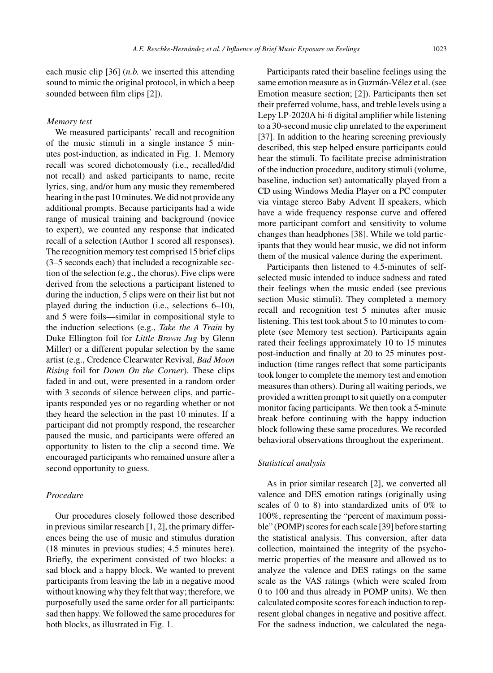each music clip [36] (*n.b.* we inserted this attending sound to mimic the original protocol, in which a beep sounded between film clips [2]).

#### *Memory test*

We measured participants' recall and recognition of the music stimuli in a single instance 5 minutes post-induction, as indicated in Fig. 1. Memory recall was scored dichotomously (i.e., recalled/did not recall) and asked participants to name, recite lyrics, sing, and/or hum any music they remembered hearing in the past 10 minutes. We did not provide any additional prompts. Because participants had a wide range of musical training and background (novice to expert), we counted any response that indicated recall of a selection (Author 1 scored all responses). The recognition memory test comprised 15 brief clips (3–5 seconds each) that included a recognizable section of the selection (e.g., the chorus). Five clips were derived from the selections a participant listened to during the induction, 5 clips were on their list but not played during the induction (i.e., selections 6–10), and 5 were foils—similar in compositional style to the induction selections (e.g., *Take the A Train* by Duke Ellington foil for *Little Brown Jug* by Glenn Miller) or a different popular selection by the same artist (e.g., Credence Clearwater Revival, *Bad Moon Rising* foil for *Down On the Corner*). These clips faded in and out, were presented in a random order with 3 seconds of silence between clips, and participants responded yes or no regarding whether or not they heard the selection in the past 10 minutes. If a participant did not promptly respond, the researcher paused the music, and participants were offered an opportunity to listen to the clip a second time. We encouraged participants who remained unsure after a second opportunity to guess.

#### *Procedure*

Our procedures closely followed those described in previous similar research [1, 2], the primary differences being the use of music and stimulus duration (18 minutes in previous studies; 4.5 minutes here). Briefly, the experiment consisted of two blocks: a sad block and a happy block. We wanted to prevent participants from leaving the lab in a negative mood without knowing why they felt that way; therefore, we purposefully used the same order for all participants: sad then happy. We followed the same procedures for both blocks, as illustrated in Fig. 1.

Participants rated their baseline feelings using the same emotion measure as in Guzmán-Vélez et al. (see Emotion measure section; [2]). Participants then set their preferred volume, bass, and treble levels using a Lepy LP-2020A hi-fi digital amplifier while listening to a 30-second music clip unrelated to the experiment [37]. In addition to the hearing screening previously described, this step helped ensure participants could hear the stimuli. To facilitate precise administration of the induction procedure, auditory stimuli (volume, baseline, induction set) automatically played from a CD using Windows Media Player on a PC computer via vintage stereo Baby Advent II speakers, which have a wide frequency response curve and offered more participant comfort and sensitivity to volume changes than headphones [38]. While we told participants that they would hear music, we did not inform them of the musical valence during the experiment.

Participants then listened to 4.5-minutes of selfselected music intended to induce sadness and rated their feelings when the music ended (see previous section Music stimuli). They completed a memory recall and recognition test 5 minutes after music listening. This test took about 5 to 10 minutes to complete (see Memory test section). Participants again rated their feelings approximately 10 to 15 minutes post-induction and finally at 20 to 25 minutes postinduction (time ranges reflect that some participants took longer to complete the memory test and emotion measures than others). During all waiting periods, we provided a written prompt to sit quietly on a computer monitor facing participants. We then took a 5-minute break before continuing with the happy induction block following these same procedures. We recorded behavioral observations throughout the experiment.

#### *Statistical analysis*

As in prior similar research [2], we converted all valence and DES emotion ratings (originally using scales of 0 to 8) into standardized units of 0% to 100%, representing the "percent of maximum possible" (POMP) scores for each scale [39] before starting the statistical analysis. This conversion, after data collection, maintained the integrity of the psychometric properties of the measure and allowed us to analyze the valence and DES ratings on the same scale as the VAS ratings (which were scaled from 0 to 100 and thus already in POMP units). We then calculated composite scores for each induction to represent global changes in negative and positive affect. For the sadness induction, we calculated the nega-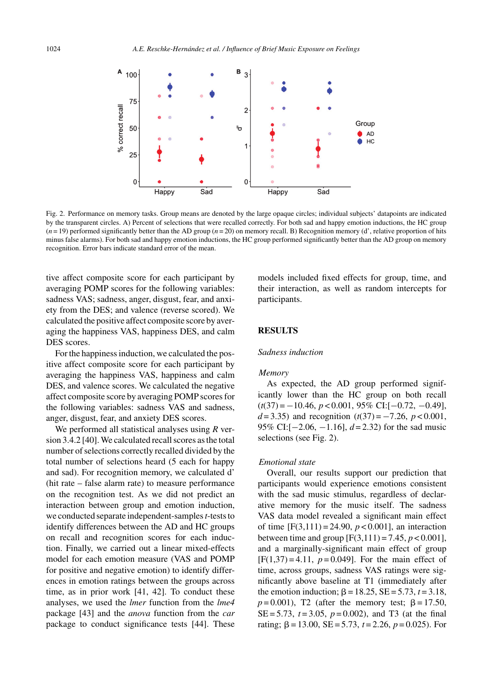

Fig. 2. Performance on memory tasks. Group means are denoted by the large opaque circles; individual subjects' datapoints are indicated by the transparent circles. A) Percent of selections that were recalled correctly. For both sad and happy emotion inductions, the HC group (*n* = 19) performed significantly better than the AD group (*n* = 20) on memory recall. B) Recognition memory (d', relative proportion of hits minus false alarms). For both sad and happy emotion inductions, the HC group performed significantly better than the AD group on memory recognition. Error bars indicate standard error of the mean.

tive affect composite score for each participant by averaging POMP scores for the following variables: sadness VAS; sadness, anger, disgust, fear, and anxiety from the DES; and valence (reverse scored). We calculated the positive affect composite score by averaging the happiness VAS, happiness DES, and calm DES scores.

For the happiness induction, we calculated the positive affect composite score for each participant by averaging the happiness VAS, happiness and calm DES, and valence scores. We calculated the negative affect composite score by averaging POMP scores for the following variables: sadness VAS and sadness, anger, disgust, fear, and anxiety DES scores.

We performed all statistical analyses using *R* version 3.4.2 [40]. We calculated recall scores as the total number of selections correctly recalled divided by the total number of selections heard (5 each for happy and sad). For recognition memory, we calculated d' (hit rate – false alarm rate) to measure performance on the recognition test. As we did not predict an interaction between group and emotion induction, we conducted separate independent-samples*t*-tests to identify differences between the AD and HC groups on recall and recognition scores for each induction. Finally, we carried out a linear mixed-effects model for each emotion measure (VAS and POMP for positive and negative emotion) to identify differences in emotion ratings between the groups across time, as in prior work [41, 42]. To conduct these analyses, we used the *lmer* function from the *lme4* package [43] and the *anova* function from the *car* package to conduct significance tests [44]. These

models included fixed effects for group, time, and their interaction, as well as random intercepts for participants.

#### **RESULTS**

#### *Sadness induction*

#### *Memory*

As expected, the AD group performed significantly lower than the HC group on both recall (*t*(37) = −10.46, *p* < 0.001, 95% CI:[−0.72, −0.49], *d* = 3.35) and recognition (*t*(37) = −7.26, *p* < 0.001, 95% CI:[−2.06, −1.16], *d* = 2.32) for the sad music selections (see Fig. 2).

#### *Emotional state*

Overall, our results support our prediction that participants would experience emotions consistent with the sad music stimulus, regardless of declarative memory for the music itself. The sadness VAS data model revealed a significant main effect of time  $[F(3,111) = 24.90, p < 0.001]$ , an interaction between time and group  $[F(3,111) = 7.45, p < 0.001]$ , and a marginally-significant main effect of group  $[F(1,37) = 4.11, p = 0.049]$ . For the main effect of time, across groups, sadness VAS ratings were significantly above baseline at T1 (immediately after the emotion induction;  $\beta = 18.25$ ,  $SE = 5.73$ ,  $t = 3.18$ ,  $p = 0.001$ ), T2 (after the memory test;  $\beta = 17.50$ ,  $SE = 5.73$ ,  $t = 3.05$ ,  $p = 0.002$ ), and T3 (at the final rating;  $\beta = 13.00$ ,  $SE = 5.73$ ,  $t = 2.26$ ,  $p = 0.025$ ). For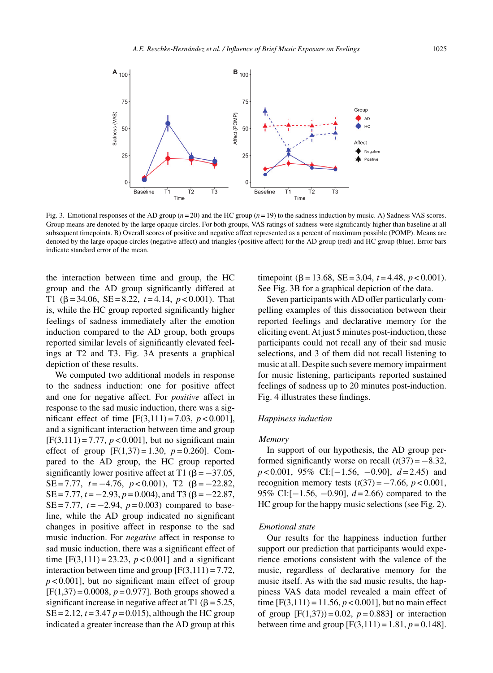

Fig. 3. Emotional responses of the AD group  $(n=20)$  and the HC group  $(n=19)$  to the sadness induction by music. A) Sadness VAS scores. Group means are denoted by the large opaque circles. For both groups, VAS ratings of sadness were significantly higher than baseline at all subsequent timepoints. B) Overall scores of positive and negative affect represented as a percent of maximum possible (POMP). Means are denoted by the large opaque circles (negative affect) and triangles (positive affect) for the AD group (red) and HC group (blue). Error bars indicate standard error of the mean.

the interaction between time and group, the HC group and the AD group significantly differed at T1 ( $\beta$  = 34.06, SE = 8.22, *t* = 4.14, *p* < 0.001). That is, while the HC group reported significantly higher feelings of sadness immediately after the emotion induction compared to the AD group, both groups reported similar levels of significantly elevated feelings at T2 and T3. Fig. 3A presents a graphical depiction of these results.

We computed two additional models in response to the sadness induction: one for positive affect and one for negative affect. For *positive* affect in response to the sad music induction, there was a significant effect of time  $[F(3,111) = 7.03, p < 0.001]$ , and a significant interaction between time and group  $[F(3,111) = 7.77, p < 0.001]$ , but no significant main effect of group  $[F(1,37) = 1.30, p = 0.260]$ . Compared to the AD group, the HC group reported significantly lower positive affect at T1 ( $\beta = -37.05$ ,  $SE = 7.77$ ,  $t = -4.76$ ,  $p < 0.001$ ), T2 ( $\beta = -22.82$ ) SE = 7.77,  $t = -2.93$ ,  $p = 0.004$ ), and T3 ( $\beta = -22.87$ , SE = 7.77,  $t = -2.94$ ,  $p = 0.003$ ) compared to baseline, while the AD group indicated no significant changes in positive affect in response to the sad music induction. For *negative* affect in response to sad music induction, there was a significant effect of time  $[F(3,111) = 23.23, p < 0.001]$  and a significant interaction between time and group  $[F(3,111) = 7.72]$ ,  $p < 0.001$ ], but no significant main effect of group  $[F(1,37) = 0.0008, p = 0.977]$ . Both groups showed a significant increase in negative affect at T1 ( $\beta$  = 5.25,  $SE = 2.12$ ,  $t = 3.47$   $p = 0.015$ ), although the HC group indicated a greater increase than the AD group at this

timepoint ( $\beta$  = 13.68, SE = 3.04, *t* = 4.48, *p* < 0.001). See Fig. 3B for a graphical depiction of the data.

Seven participants with AD offer particularly compelling examples of this dissociation between their reported feelings and declarative memory for the eliciting event. At just 5 minutes post-induction, these participants could not recall any of their sad music selections, and 3 of them did not recall listening to music at all. Despite such severe memory impairment for music listening, participants reported sustained feelings of sadness up to 20 minutes post-induction. Fig. 4 illustrates these findings.

#### *Happiness induction*

#### *Memory*

In support of our hypothesis, the AD group performed significantly worse on recall  $(t(37) = -8.32$ , *p* < 0.001, 95% CI:[−1.56, −0.90], *d* = 2.45) and recognition memory tests  $(t(37) = -7.66, p < 0.001,$ 95% CI:[−1.56, −0.90], *d* = 2.66) compared to the HC group for the happy music selections (see Fig. 2).

#### *Emotional state*

Our results for the happiness induction further support our prediction that participants would experience emotions consistent with the valence of the music, regardless of declarative memory for the music itself. As with the sad music results, the happiness VAS data model revealed a main effect of time  $[F(3,111) = 11.56, p < 0.001]$ , but no main effect of group  $[F(1,37)) = 0.02$ ,  $p = 0.883$  or interaction between time and group  $[F(3,111) = 1.81, p = 0.148]$ .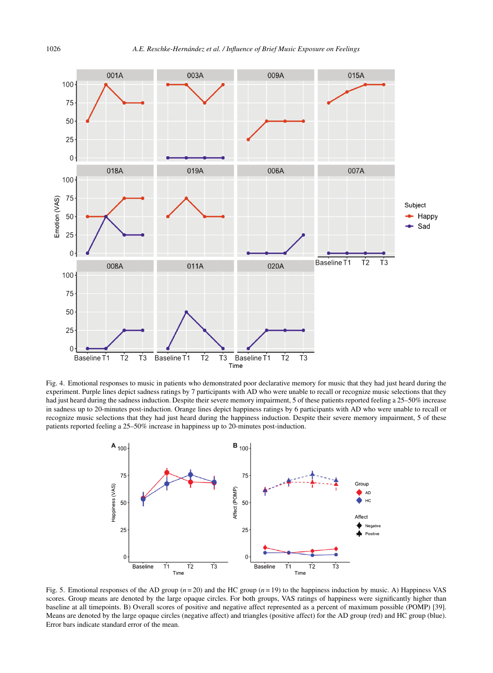

Fig. 4. Emotional responses to music in patients who demonstrated poor declarative memory for music that they had just heard during the experiment. Purple lines depict sadness ratings by 7 participants with AD who were unable to recall or recognize music selections that they had just heard during the sadness induction. Despite their severe memory impairment, 5 of these patients reported feeling a 25–50% increase in sadness up to 20-minutes post-induction. Orange lines depict happiness ratings by 6 participants with AD who were unable to recall or recognize music selections that they had just heard during the happiness induction. Despite their severe memory impairment, 5 of these patients reported feeling a 25–50% increase in happiness up to 20-minutes post-induction.



Fig. 5. Emotional responses of the AD group (*n* = 20) and the HC group (*n* = 19) to the happiness induction by music. A) Happiness VAS scores. Group means are denoted by the large opaque circles. For both groups, VAS ratings of happiness were significantly higher than baseline at all timepoints. B) Overall scores of positive and negative affect represented as a percent of maximum possible (POMP) [39]. Means are denoted by the large opaque circles (negative affect) and triangles (positive affect) for the AD group (red) and HC group (blue). Error bars indicate standard error of the mean.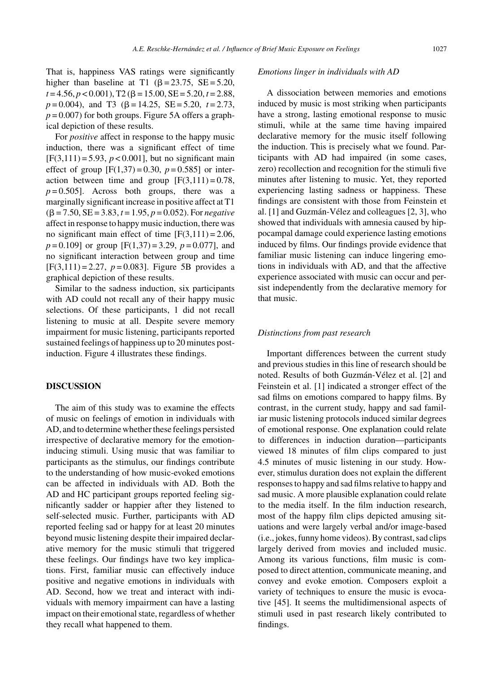That is, happiness VAS ratings were significantly higher than baseline at T1  $(\beta = 23.75, \text{ SE} = 5.20,$  $t = 4.56, p < 0.001$ ), T2 ( $\beta = 15.00$ , SE = 5.20,  $t = 2.88$ ,  $p = 0.004$ ), and T3 ( $\beta = 14.25$ , SE = 5.20,  $t = 2.73$ ,  $p = 0.007$ ) for both groups. Figure 5A offers a graphical depiction of these results.

For *positive* affect in response to the happy music induction, there was a significant effect of time  $[F(3,111) = 5.93, p < 0.001]$ , but no significant main effect of group  $[F(1,37) = 0.30, p = 0.585]$  or interaction between time and group  $[F(3,111) = 0.78]$ ,  $p = 0.505$ ]. Across both groups, there was a marginally significant increase in positive affect at T1  $(\beta = 7.50, \text{SE} = 3.83, t = 1.95, p = 0.052)$ . For *negative* affect in response to happy music induction, there was no significant main effect of time  $[F(3,111) = 2.06]$ . *p* = 0.109] or group [F(1,37) = 3.29, *p* = 0.077], and no significant interaction between group and time  $[F(3,111) = 2.27, p = 0.083]$ . Figure 5B provides a graphical depiction of these results.

Similar to the sadness induction, six participants with AD could not recall any of their happy music selections. Of these participants, 1 did not recall listening to music at all. Despite severe memory impairment for music listening, participants reported sustained feelings of happiness up to 20 minutes postinduction. Figure 4 illustrates these findings.

#### **DISCUSSION**

The aim of this study was to examine the effects of music on feelings of emotion in individuals with AD, and to determine whether these feelings persisted irrespective of declarative memory for the emotioninducing stimuli. Using music that was familiar to participants as the stimulus, our findings contribute to the understanding of how music-evoked emotions can be affected in individuals with AD. Both the AD and HC participant groups reported feeling significantly sadder or happier after they listened to self-selected music. Further, participants with AD reported feeling sad or happy for at least 20 minutes beyond music listening despite their impaired declarative memory for the music stimuli that triggered these feelings. Our findings have two key implications. First, familiar music can effectively induce positive and negative emotions in individuals with AD. Second, how we treat and interact with individuals with memory impairment can have a lasting impact on their emotional state, regardless of whether they recall what happened to them.

#### *Emotions linger in individuals with AD*

A dissociation between memories and emotions induced by music is most striking when participants have a strong, lasting emotional response to music stimuli, while at the same time having impaired declarative memory for the music itself following the induction. This is precisely what we found. Participants with AD had impaired (in some cases, zero) recollection and recognition for the stimuli five minutes after listening to music. Yet, they reported experiencing lasting sadness or happiness. These findings are consistent with those from Feinstein et al.  $[1]$  and Guzmán-Vélez and colleagues  $[2, 3]$ , who showed that individuals with amnesia caused by hippocampal damage could experience lasting emotions induced by films. Our findings provide evidence that familiar music listening can induce lingering emotions in individuals with AD, and that the affective experience associated with music can occur and persist independently from the declarative memory for that music.

#### *Distinctions from past research*

Important differences between the current study and previous studies in this line of research should be noted. Results of both Guzmán-Vélez et al. [2] and Feinstein et al. [1] indicated a stronger effect of the sad films on emotions compared to happy films. By contrast, in the current study, happy and sad familiar music listening protocols induced similar degrees of emotional response. One explanation could relate to differences in induction duration—participants viewed 18 minutes of film clips compared to just 4.5 minutes of music listening in our study. However, stimulus duration does not explain the different responses to happy and sad films relative to happy and sad music. A more plausible explanation could relate to the media itself. In the film induction research, most of the happy film clips depicted amusing situations and were largely verbal and/or image-based (i.e., jokes, funny home videos). By contrast, sad clips largely derived from movies and included music. Among its various functions, film music is composed to direct attention, communicate meaning, and convey and evoke emotion. Composers exploit a variety of techniques to ensure the music is evocative [45]. It seems the multidimensional aspects of stimuli used in past research likely contributed to findings.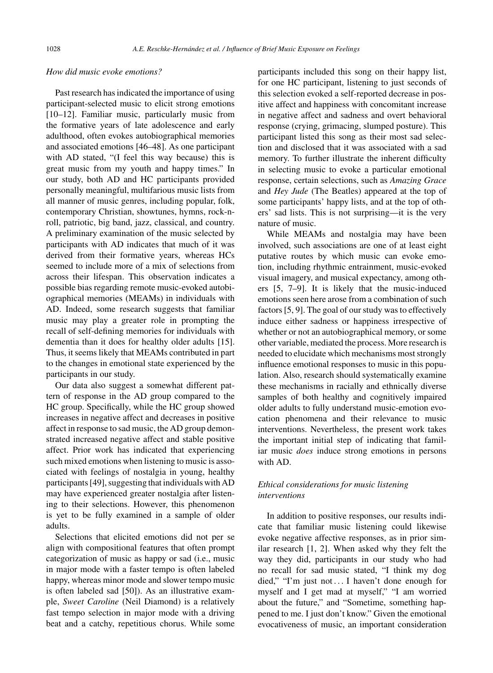#### *How did music evoke emotions?*

Past research has indicated the importance of using participant-selected music to elicit strong emotions [10–12]. Familiar music, particularly music from the formative years of late adolescence and early adulthood, often evokes autobiographical memories and associated emotions [46–48]. As one participant with AD stated, "(I feel this way because) this is great music from my youth and happy times." In our study, both AD and HC participants provided personally meaningful, multifarious music lists from all manner of music genres, including popular, folk, contemporary Christian, showtunes, hymns, rock-nroll, patriotic, big band, jazz, classical, and country. A preliminary examination of the music selected by participants with AD indicates that much of it was derived from their formative years, whereas HCs seemed to include more of a mix of selections from across their lifespan. This observation indicates a possible bias regarding remote music-evoked autobiographical memories (MEAMs) in individuals with AD. Indeed, some research suggests that familiar music may play a greater role in prompting the recall of self-defining memories for individuals with dementia than it does for healthy older adults [15]. Thus, it seems likely that MEAMs contributed in part to the changes in emotional state experienced by the participants in our study.

Our data also suggest a somewhat different pattern of response in the AD group compared to the HC group. Specifically, while the HC group showed increases in negative affect and decreases in positive affect in response to sad music, the AD group demonstrated increased negative affect and stable positive affect. Prior work has indicated that experiencing such mixed emotions when listening to music is associated with feelings of nostalgia in young, healthy participants [49], suggesting that individuals with AD may have experienced greater nostalgia after listening to their selections. However, this phenomenon is yet to be fully examined in a sample of older adults.

Selections that elicited emotions did not per se align with compositional features that often prompt categorization of music as happy or sad (i.e., music in major mode with a faster tempo is often labeled happy, whereas minor mode and slower tempo music is often labeled sad [50]). As an illustrative example, *Sweet Caroline* (Neil Diamond) is a relatively fast tempo selection in major mode with a driving beat and a catchy, repetitious chorus. While some

participants included this song on their happy list, for one HC participant, listening to just seconds of this selection evoked a self-reported decrease in positive affect and happiness with concomitant increase in negative affect and sadness and overt behavioral response (crying, grimacing, slumped posture). This participant listed this song as their most sad selection and disclosed that it was associated with a sad memory. To further illustrate the inherent difficulty in selecting music to evoke a particular emotional response, certain selections, such as *Amazing Grace* and *Hey Jude* (The Beatles) appeared at the top of some participants' happy lists, and at the top of others' sad lists. This is not surprising—it is the very nature of music.

While MEAMs and nostalgia may have been involved, such associations are one of at least eight putative routes by which music can evoke emotion, including rhythmic entrainment, music-evoked visual imagery, and musical expectancy, among others [5, 7–9]. It is likely that the music-induced emotions seen here arose from a combination of such factors [5, 9]. The goal of our study was to effectively induce either sadness or happiness irrespective of whether or not an autobiographical memory, or some other variable, mediated the process. More research is needed to elucidate which mechanisms most strongly influence emotional responses to music in this population. Also, research should systematically examine these mechanisms in racially and ethnically diverse samples of both healthy and cognitively impaired older adults to fully understand music-emotion evocation phenomena and their relevance to music interventions. Nevertheless, the present work takes the important initial step of indicating that familiar music *does* induce strong emotions in persons with AD.

#### *Ethical considerations for music listening interventions*

In addition to positive responses, our results indicate that familiar music listening could likewise evoke negative affective responses, as in prior similar research [1, 2]. When asked why they felt the way they did, participants in our study who had no recall for sad music stated, "I think my dog died," "I'm just not ... I haven't done enough for myself and I get mad at myself," "I am worried about the future," and "Sometime, something happened to me. I just don't know." Given the emotional evocativeness of music, an important consideration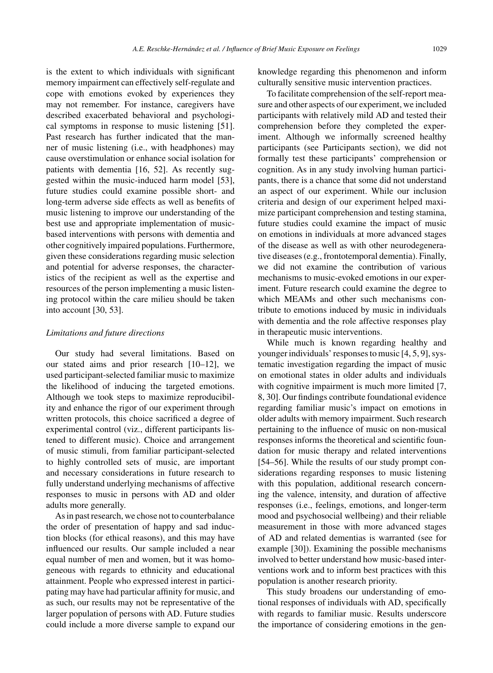is the extent to which individuals with significant memory impairment can effectively self-regulate and cope with emotions evoked by experiences they may not remember. For instance, caregivers have described exacerbated behavioral and psychological symptoms in response to music listening [51]. Past research has further indicated that the manner of music listening (i.e., with headphones) may cause overstimulation or enhance social isolation for patients with dementia [16, 52]. As recently suggested within the music-induced harm model [53], future studies could examine possible short- and long-term adverse side effects as well as benefits of music listening to improve our understanding of the best use and appropriate implementation of musicbased interventions with persons with dementia and other cognitively impaired populations. Furthermore, given these considerations regarding music selection and potential for adverse responses, the characteristics of the recipient as well as the expertise and resources of the person implementing a music listening protocol within the care milieu should be taken into account [30, 53].

#### *Limitations and future directions*

Our study had several limitations. Based on our stated aims and prior research [10–12], we used participant-selected familiar music to maximize the likelihood of inducing the targeted emotions. Although we took steps to maximize reproducibility and enhance the rigor of our experiment through written protocols, this choice sacrificed a degree of experimental control (viz., different participants listened to different music). Choice and arrangement of music stimuli, from familiar participant-selected to highly controlled sets of music, are important and necessary considerations in future research to fully understand underlying mechanisms of affective responses to music in persons with AD and older adults more generally.

As in past research, we chose not to counterbalance the order of presentation of happy and sad induction blocks (for ethical reasons), and this may have influenced our results. Our sample included a near equal number of men and women, but it was homogeneous with regards to ethnicity and educational attainment. People who expressed interest in participating may have had particular affinity for music, and as such, our results may not be representative of the larger population of persons with AD. Future studies could include a more diverse sample to expand our

knowledge regarding this phenomenon and inform culturally sensitive music intervention practices.

To facilitate comprehension of the self-report measure and other aspects of our experiment, we included participants with relatively mild AD and tested their comprehension before they completed the experiment. Although we informally screened healthy participants (see Participants section), we did not formally test these participants' comprehension or cognition. As in any study involving human participants, there is a chance that some did not understand an aspect of our experiment. While our inclusion criteria and design of our experiment helped maximize participant comprehension and testing stamina, future studies could examine the impact of music on emotions in individuals at more advanced stages of the disease as well as with other neurodegenerative diseases (e.g., frontotemporal dementia). Finally, we did not examine the contribution of various mechanisms to music-evoked emotions in our experiment. Future research could examine the degree to which MEAMs and other such mechanisms contribute to emotions induced by music in individuals with dementia and the role affective responses play in therapeutic music interventions.

While much is known regarding healthy and younger individuals' responses to music [4, 5, 9], systematic investigation regarding the impact of music on emotional states in older adults and individuals with cognitive impairment is much more limited [7, 8, 30]. Our findings contribute foundational evidence regarding familiar music's impact on emotions in older adults with memory impairment. Such research pertaining to the influence of music on non-musical responses informs the theoretical and scientific foundation for music therapy and related interventions [54–56]. While the results of our study prompt considerations regarding responses to music listening with this population, additional research concerning the valence, intensity, and duration of affective responses (i.e., feelings, emotions, and longer-term mood and psychosocial wellbeing) and their reliable measurement in those with more advanced stages of AD and related dementias is warranted (see for example [30]). Examining the possible mechanisms involved to better understand how music-based interventions work and to inform best practices with this population is another research priority.

This study broadens our understanding of emotional responses of individuals with AD, specifically with regards to familiar music. Results underscore the importance of considering emotions in the gen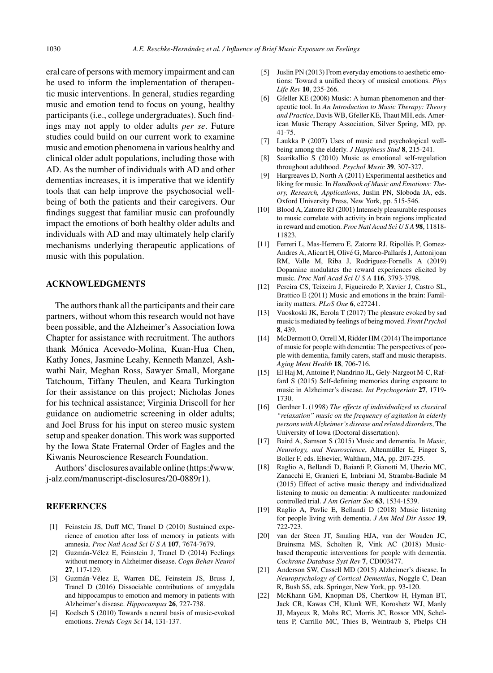eral care of persons with memory impairment and can be used to inform the implementation of therapeutic music interventions. In general, studies regarding music and emotion tend to focus on young, healthy participants (i.e., college undergraduates). Such findings may not apply to older adults *per se*. Future studies could build on our current work to examine music and emotion phenomena in various healthy and clinical older adult populations, including those with AD. As the number of individuals with AD and other dementias increases, it is imperative that we identify tools that can help improve the psychosocial wellbeing of both the patients and their caregivers. Our findings suggest that familiar music can profoundly impact the emotions of both healthy older adults and individuals with AD and may ultimately help clarify mechanisms underlying therapeutic applications of music with this population.

#### **ACKNOWLEDGMENTS**

The authors thank all the participants and their care partners, without whom this research would not have been possible, and the Alzheimer's Association Iowa Chapter for assistance with recruitment. The authors thank Mónica Acevedo-Molina, Kuan-Hua Chen, Kathy Jones, Jasmine Leahy, Kenneth Manzel, Ashwathi Nair, Meghan Ross, Sawyer Small, Morgane Tatchoum, Tiffany Theulen, and Keara Turkington for their assistance on this project; Nicholas Jones for his technical assistance; Virginia Driscoll for her guidance on audiometric screening in older adults; and Joel Bruss for his input on stereo music system setup and speaker donation. This work was supported by the Iowa State Fraternal Order of Eagles and the Kiwanis Neuroscience Research Foundation.

Authors' disclosures available online (https://www. j-alz.com/manuscript-disclosures/20-0889r1).

#### **REFERENCES**

- [1] Feinstein JS, Duff MC, Tranel D (2010) Sustained experience of emotion after loss of memory in patients with amnesia. *Proc Natl Acad SciUSA* **107**, 7674-7679.
- [2] Guzmán-Vélez E, Feinstein J, Tranel D (2014) Feelings without memory in Alzheimer disease. *Cogn Behav Neurol* **27**, 117-129.
- [3] Guzmán-Vélez E, Warren DE, Feinstein JS, Bruss J, Tranel D (2016) Dissociable contributions of amygdala and hippocampus to emotion and memory in patients with Alzheimer's disease. *Hippocampus* **26**, 727-738.
- [4] Koelsch S (2010) Towards a neural basis of music-evoked emotions. *Trends Cogn Sci* **14**, 131-137.
- [5] Juslin PN (2013) From everyday emotions to aesthetic emotions: Toward a unified theory of musical emotions. *Phys Life Rev* **10**, 235-266.
- [6] Gfeller KE (2008) Music: A human phenomenon and therapeutic tool. In *An Introduction to Music Therapy: Theory and Practice*, Davis WB, Gfeller KE, Thaut MH, eds. American Music Therapy Association, Silver Spring, MD, pp. 41-75.
- [7] Laukka P (2007) Uses of music and psychological wellbeing among the elderly. *J Happiness Stud* **8**, 215-241.
- [8] Saarikallio S (2010) Music as emotional self-regulation throughout adulthood. *Psychol Music* **39**, 307-327.
- [9] Hargreaves D, North A (2011) Experimental aesthetics and liking for music. In *Handbook of Music and Emotions: Theory, Research, Applications*, Juslin PN, Sloboda JA, eds. Oxford University Press, New York, pp. 515-546.
- [10] Blood A, Zatorre RJ (2001) Intensely pleasurable responses to music correlate with activity in brain regions implicated in reward and emotion. *Proc Natl Acad Sci U S A* **98**, 11818- 11823.
- [11] Ferreri L, Mas-Herrero E, Zatorre RJ, Ripollés P, Gomez-Andres A, Alicart H, Olivé G, Marco-Pallarés J, Antonijoan RM, Valle M, Riba J, Rodriguez-Fornells A (2019) Dopamine modulates the reward experiences elicited by music. *Proc Natl Acad SciUSA* **116**, 3793-3798.
- [12] Pereira CS, Teixeira J, Figueiredo P, Xavier J, Castro SL, Brattico E (2011) Music and emotions in the brain: Familiarity matters. *PLoS One* **6**, e27241.
- [13] Vuoskoski JK, Eerola T (2017) The pleasure evoked by sad music is mediated by feelings of being moved.*Front Psychol* **8**, 439.
- [14] McDermott O, Orrell M, Ridder HM (2014) The importance of music for people with dementia: The perspectives of people with dementia, family carers, staff and music therapists. *Aging Ment Health* **18**, 706-716.
- [15] El Haj M, Antoine P, Nandrino JL, Gely-Nargeot M-C, Raffard S (2015) Self-defining memories during exposure to music in Alzheimer's disease. *Int Psychogeriatr* **27**, 1719- 1730.
- [16] Gerdner L (1998) *The effects of individualized vs classical "relaxation" music on the frequency of agitation in elderly persons with Alzheimer's disease and related disorders*, The University of Iowa (Doctoral dissertation).
- [17] Baird A, Samson S (2015) Music and dementia. In *Music, Neurology, and Neuroscience*, Altenmüller E, Finger S, Boller F, eds. Elsevier, Waltham, MA, pp. 207-235.
- [\[18\] Raglio A, Bellandi D, Baiardi P, Gianott](https://www.j-alz.com/manuscript-disclosures/20-0889r1)i M, Ubezio MC, Zanacchi E, Granieri E, Imbriani M, Stramba-Badiale M (2015) Effect of active music therapy and individualized listening to music on dementia: A multicenter randomized controlled trial. *J Am Geriatr Soc* **63**, 1534-1539.
- [19] Raglio A, Pavlic E, Bellandi D (2018) Music listening for people living with dementia. *J Am Med Dir Assoc* **19**, 722-723.
- [20] van der Steen JT, Smaling HJA, van der Wouden JC, Bruinsma MS, Scholten R, Vink AC (2018) Musicbased therapeutic interventions for people with dementia. *Cochrane Database Syst Rev* **7**, CD003477.
- [21] Anderson SW, Cassell MD (2015) Alzheimer's disease. In *Neuropsychology of Cortical Dementias*, Noggle C, Dean R, Bush SS, eds. Springer, New York, pp. 93-120.
- [22] McKhann GM, Knopman DS, Chertkow H, Hyman BT, Jack CR, Kawas CH, Klunk WE, Koroshetz WJ, Manly JJ, Mayeux R, Mohs RC, Morris JC, Rossor MN, Scheltens P, Carrillo MC, Thies B, Weintraub S, Phelps CH